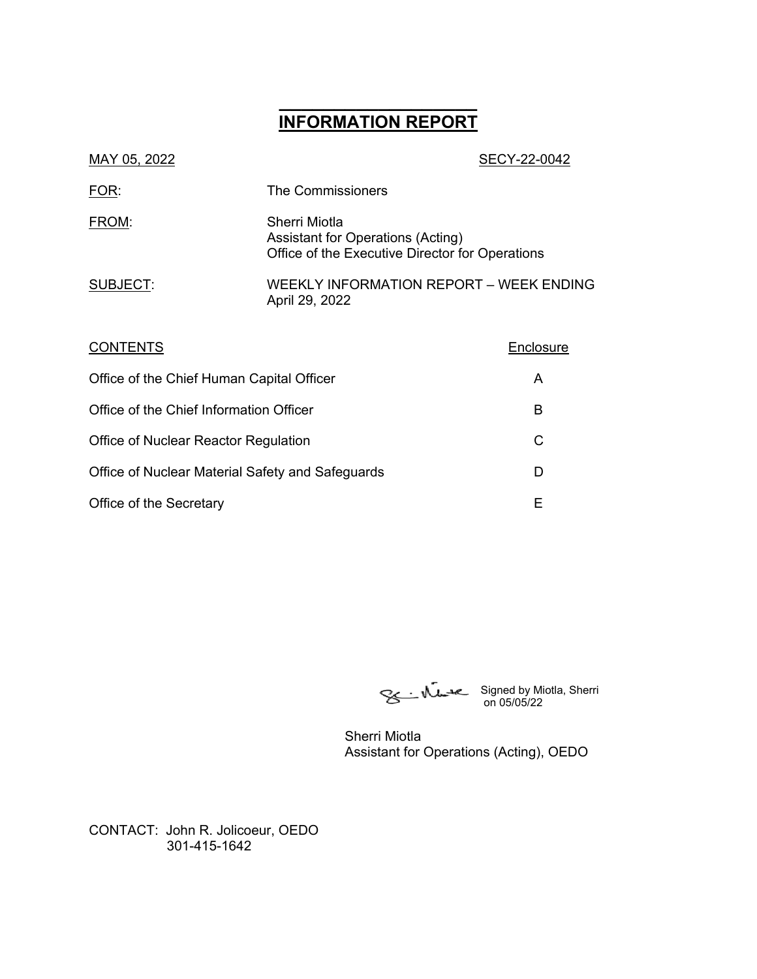# **\_\_\_\_\_\_\_\_\_\_\_\_\_\_\_\_\_\_ INFORMATION REPORT**

| MAY 05, 2022                              |                                                                                                              | SECY-22-0042 |
|-------------------------------------------|--------------------------------------------------------------------------------------------------------------|--------------|
| FOR:                                      | The Commissioners                                                                                            |              |
| FROM:                                     | Sherri Miotla<br><b>Assistant for Operations (Acting)</b><br>Office of the Executive Director for Operations |              |
| SUBJECT:                                  | WEEKLY INFORMATION REPORT – WEEK ENDING<br>April 29, 2022                                                    |              |
| CONTENTS                                  |                                                                                                              | Enclosure    |
| Office of the Chief Human Capital Officer |                                                                                                              | A            |
| Office of the Chief Information Officer   |                                                                                                              | B            |
| C<br>Office of Nuclear Reactor Regulation |                                                                                                              |              |
|                                           |                                                                                                              |              |

Office of Nuclear Material Safety and Safeguards D Office of the Secretary **E** 

on 05/05/22

Signed by Miotla, Sherri

Sherri Miotla Assistant for Operations (Acting), OEDO

CONTACT: John R. Jolicoeur, OEDO 301-415-1642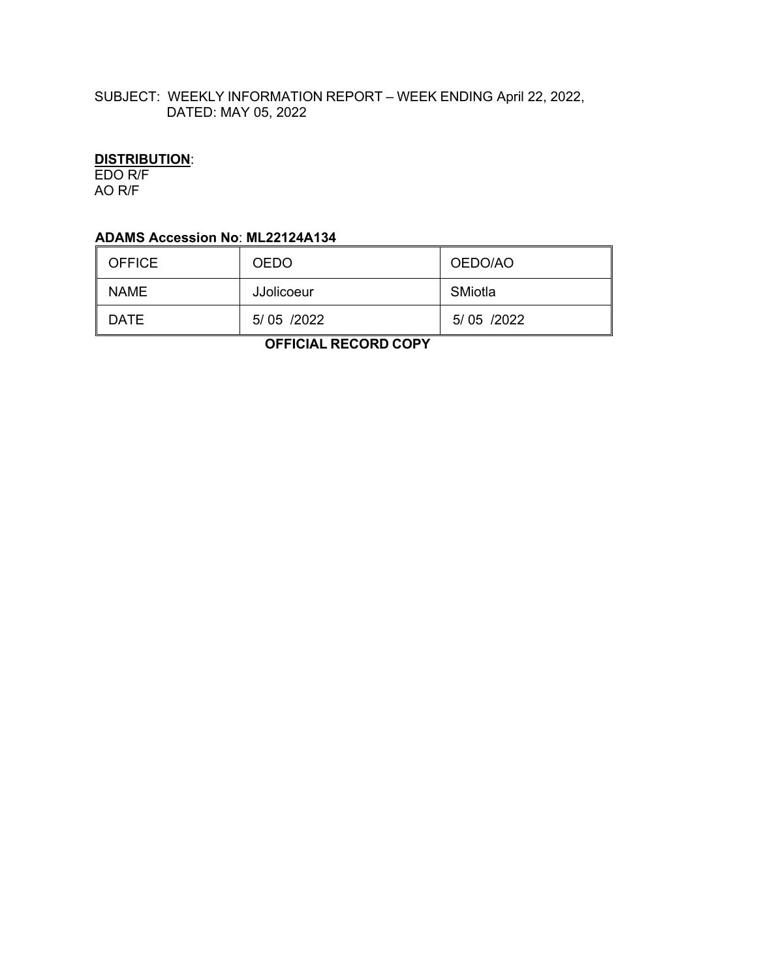# SUBJECT: WEEKLY INFORMATION REPORT – WEEK ENDING April 22, 2022, DATED: MAY 05, 2022

# **DISTRIBUTION**:

EDO R/F AO R/F

## **ADAMS Accession No**: **ML22124A134**

| <b>OFFICE</b> | <b>OEDO</b> | OEDO/AO    |
|---------------|-------------|------------|
| <b>NAME</b>   | JJolicoeur  | SMiotla    |
| DATE          | 5/05 /2022  | 5/05 /2022 |

 **OFFICIAL RECORD COPY**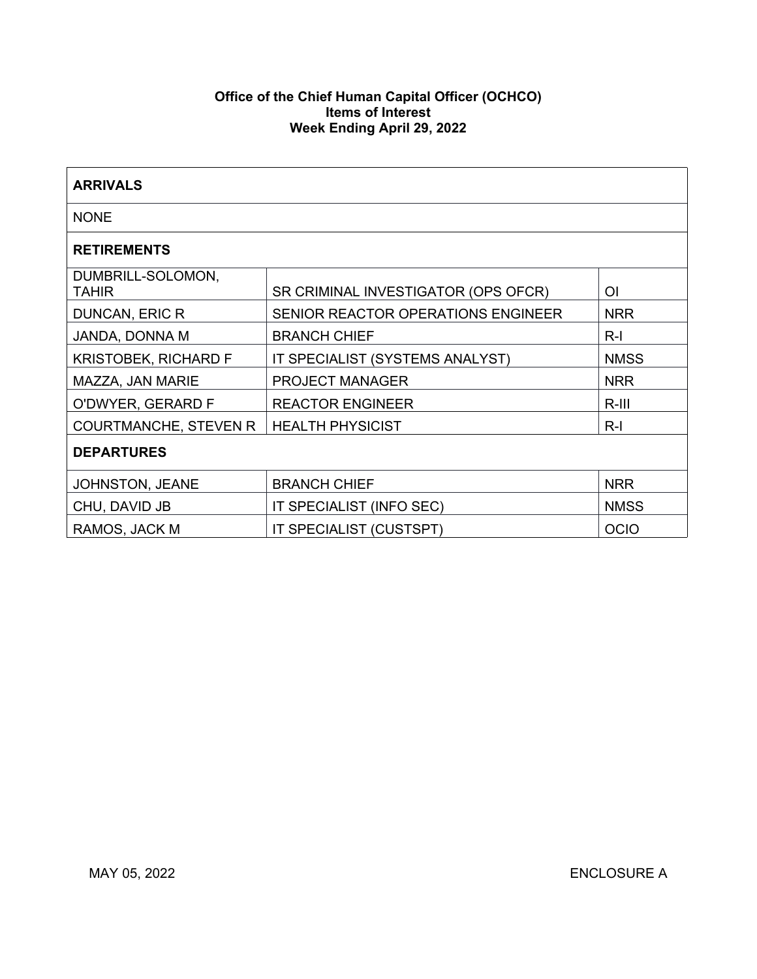### **Office of the Chief Human Capital Officer (OCHCO) Items of Interest Week Ending April 29, 2022**

| <b>ARRIVALS</b>                   |                                     |             |  |  |
|-----------------------------------|-------------------------------------|-------------|--|--|
| <b>NONE</b>                       |                                     |             |  |  |
| <b>RETIREMENTS</b>                |                                     |             |  |  |
| DUMBRILL-SOLOMON,<br><b>TAHIR</b> | SR CRIMINAL INVESTIGATOR (OPS OFCR) | ΟI          |  |  |
| DUNCAN, ERIC R                    | SENIOR REACTOR OPERATIONS ENGINEER  | <b>NRR</b>  |  |  |
| JANDA, DONNA M                    | <b>BRANCH CHIEF</b>                 | $R-I$       |  |  |
| <b>KRISTOBEK, RICHARD F</b>       | IT SPECIALIST (SYSTEMS ANALYST)     | <b>NMSS</b> |  |  |
| MAZZA, JAN MARIE                  | <b>PROJECT MANAGER</b>              | <b>NRR</b>  |  |  |
| O'DWYER, GERARD F                 | <b>REACTOR ENGINEER</b>             | $R-III$     |  |  |
| <b>COURTMANCHE, STEVEN R</b>      | <b>HEALTH PHYSICIST</b>             | $R-I$       |  |  |
| <b>DEPARTURES</b>                 |                                     |             |  |  |
| JOHNSTON, JEANE                   | <b>BRANCH CHIEF</b>                 | <b>NRR</b>  |  |  |
| CHU, DAVID JB                     | IT SPECIALIST (INFO SEC)            | <b>NMSS</b> |  |  |
| RAMOS, JACK M                     | IT SPECIALIST (CUSTSPT)             | <b>OCIO</b> |  |  |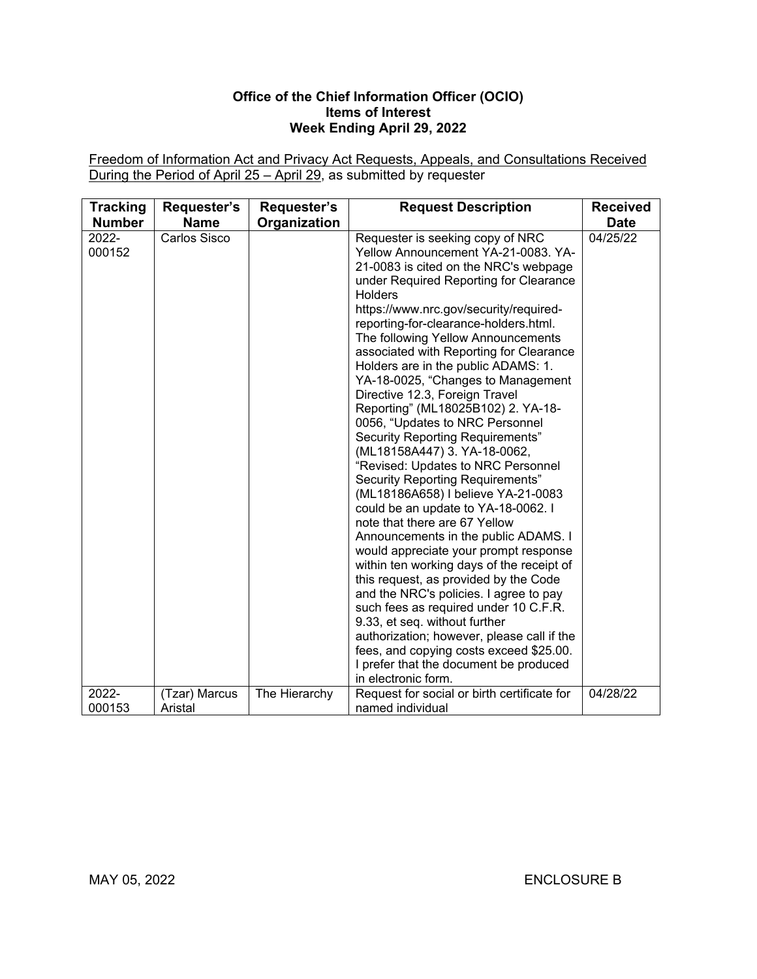### **Office of the Chief Information Officer (OCIO) Items of Interest Week Ending April 29, 2022**

Freedom of Information Act and Privacy Act Requests, Appeals, and Consultations Received During the Period of April 25 – April 29, as submitted by requester

| <b>Tracking</b><br><b>Number</b> | Requester's<br><b>Name</b> | Requester's<br>Organization | <b>Request Description</b>                                                                                                                                                                                                                                                                                                                                                                                                                                                                                                                                                                                                                                                                                                                                                                                                                                                                                                                                                                                                                                                                                                                                                                                                                                       | <b>Received</b><br><b>Date</b> |
|----------------------------------|----------------------------|-----------------------------|------------------------------------------------------------------------------------------------------------------------------------------------------------------------------------------------------------------------------------------------------------------------------------------------------------------------------------------------------------------------------------------------------------------------------------------------------------------------------------------------------------------------------------------------------------------------------------------------------------------------------------------------------------------------------------------------------------------------------------------------------------------------------------------------------------------------------------------------------------------------------------------------------------------------------------------------------------------------------------------------------------------------------------------------------------------------------------------------------------------------------------------------------------------------------------------------------------------------------------------------------------------|--------------------------------|
| 2022-<br>000152                  | <b>Carlos Sisco</b>        |                             | Requester is seeking copy of NRC<br>Yellow Announcement YA-21-0083. YA-<br>21-0083 is cited on the NRC's webpage<br>under Required Reporting for Clearance<br><b>Holders</b><br>https://www.nrc.gov/security/required-<br>reporting-for-clearance-holders.html.<br>The following Yellow Announcements<br>associated with Reporting for Clearance<br>Holders are in the public ADAMS: 1.<br>YA-18-0025, "Changes to Management<br>Directive 12.3, Foreign Travel<br>Reporting" (ML18025B102) 2. YA-18-<br>0056, "Updates to NRC Personnel<br><b>Security Reporting Requirements"</b><br>(ML18158A447) 3. YA-18-0062,<br>"Revised: Updates to NRC Personnel<br>Security Reporting Requirements"<br>(ML18186A658) I believe YA-21-0083<br>could be an update to YA-18-0062. I<br>note that there are 67 Yellow<br>Announcements in the public ADAMS. I<br>would appreciate your prompt response<br>within ten working days of the receipt of<br>this request, as provided by the Code<br>and the NRC's policies. I agree to pay<br>such fees as required under 10 C.F.R.<br>9.33, et seq. without further<br>authorization; however, please call if the<br>fees, and copying costs exceed \$25.00.<br>I prefer that the document be produced<br>in electronic form. | 04/25/22                       |
| 2022-<br>000153                  | (Tzar) Marcus<br>Aristal   | The Hierarchy               | Request for social or birth certificate for<br>named individual                                                                                                                                                                                                                                                                                                                                                                                                                                                                                                                                                                                                                                                                                                                                                                                                                                                                                                                                                                                                                                                                                                                                                                                                  | 04/28/22                       |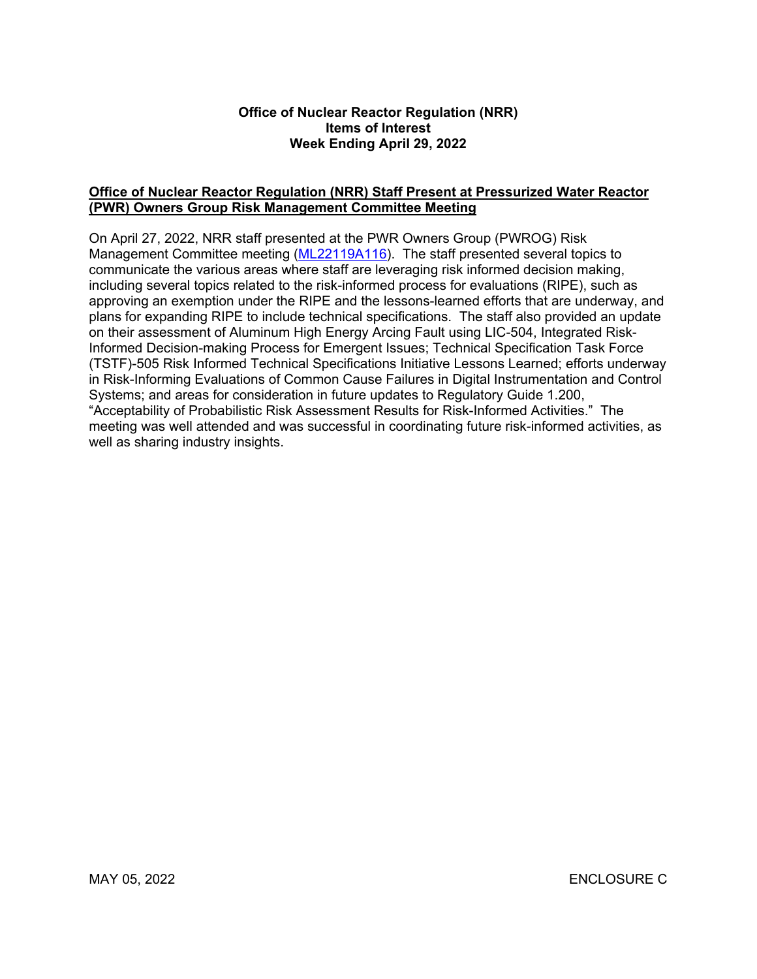#### **Office of Nuclear Reactor Regulation (NRR) Items of Interest Week Ending April 29, 2022**

#### **Office of Nuclear Reactor Regulation (NRR) Staff Present at Pressurized Water Reactor (PWR) Owners Group Risk Management Committee Meeting**

On April 27, 2022, NRR staff presented at the PWR Owners Group (PWROG) Risk Management Committee meeting [\(ML22119A116\)](https://adamsxt.nrc.gov/navigator/AdamsXT/content/downloadContent.faces?objectStoreName=MainLibrary&vsId=%7bA87464A9-AFA5-C69A-8FCB-8075E4100000%7d&ForceBrowserDownloadMgrPrompt=false). The staff presented several topics to communicate the various areas where staff are leveraging risk informed decision making, including several topics related to the risk-informed process for evaluations (RIPE), such as approving an exemption under the RIPE and the lessons-learned efforts that are underway, and plans for expanding RIPE to include technical specifications. The staff also provided an update on their assessment of Aluminum High Energy Arcing Fault using LIC-504, Integrated Risk-Informed Decision-making Process for Emergent Issues; Technical Specification Task Force (TSTF)-505 Risk Informed Technical Specifications Initiative Lessons Learned; efforts underway in Risk-Informing Evaluations of Common Cause Failures in Digital Instrumentation and Control Systems; and areas for consideration in future updates to Regulatory Guide 1.200, "Acceptability of Probabilistic Risk Assessment Results for Risk-Informed Activities." The meeting was well attended and was successful in coordinating future risk-informed activities, as well as sharing industry insights.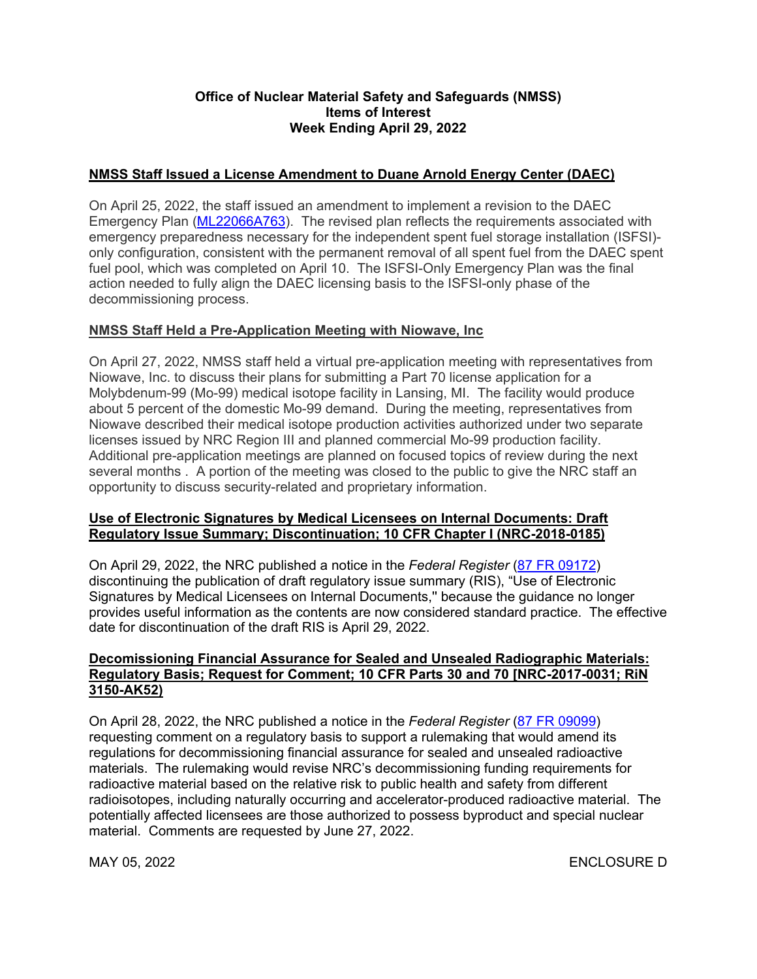### **Office of Nuclear Material Safety and Safeguards (NMSS) Items of Interest Week Ending April 29, 2022**

## **NMSS Staff Issued a License Amendment to Duane Arnold Energy Center (DAEC)**

On April 25, 2022, the staff issued an amendment to implement a revision to the DAEC Emergency Plan [\(ML22066A763\)](https://adamsxt.nrc.gov/navigator/AdamsXT/content/downloadContent.faces?objectStoreName=MainLibrary&vsId=%7bDB02DF03-184D-C74E-8E69-7F6537A00000%7d&ForceBrowserDownloadMgrPrompt=false). The revised plan reflects the requirements associated with emergency preparedness necessary for the independent spent fuel storage installation (ISFSI) only configuration, consistent with the permanent removal of all spent fuel from the DAEC spent fuel pool, which was completed on April 10. The ISFSI-Only Emergency Plan was the final action needed to fully align the DAEC licensing basis to the ISFSI-only phase of the decommissioning process.

## **NMSS Staff Held a Pre-Application Meeting with Niowave, Inc**

On April 27, 2022, NMSS staff held a virtual pre-application meeting with representatives from Niowave, Inc. to discuss their plans for submitting a Part 70 license application for a Molybdenum-99 (Mo-99) medical isotope facility in Lansing, MI. The facility would produce about 5 percent of the domestic Mo-99 demand. During the meeting, representatives from Niowave described their medical isotope production activities authorized under two separate licenses issued by NRC Region III and planned commercial Mo-99 production facility. Additional pre-application meetings are planned on focused topics of review during the next several months . A portion of the meeting was closed to the public to give the NRC staff an opportunity to discuss security-related and proprietary information.

#### **Use of Electronic Signatures by Medical Licensees on Internal Documents: Draft Regulatory Issue Summary; Discontinuation; 10 CFR Chapter I (NRC-2018-0185)**

On April 29, 2022, the NRC published a notice in the *Federal Register* ([87 FR 09172](https://www.federalregister.gov/d/2022-09172)) discontinuing the publication of draft regulatory issue summary (RIS), "Use of Electronic Signatures by Medical Licensees on Internal Documents,'' because the guidance no longer provides useful information as the contents are now considered standard practice. The effective date for discontinuation of the draft RIS is April 29, 2022.

### **Decomissioning Financial Assurance for Sealed and Unsealed Radiographic Materials: Regulatory Basis; Request for Comment; 10 CFR Parts 30 and 70 [NRC-2017-0031; RiN 3150-AK52)**

On April 28, 2022, the NRC published a notice in the *Federal Register* ([87 FR 09099](https://www.federalregister.gov/d/2022-09099)) requesting comment on a regulatory basis to support a rulemaking that would amend its regulations for decommissioning financial assurance for sealed and unsealed radioactive materials. The rulemaking would revise NRC's decommissioning funding requirements for radioactive material based on the relative risk to public health and safety from different radioisotopes, including naturally occurring and accelerator-produced radioactive material. The potentially affected licensees are those authorized to possess byproduct and special nuclear material. Comments are requested by June 27, 2022.

MAY 05, 2022 ENCLOSURE D